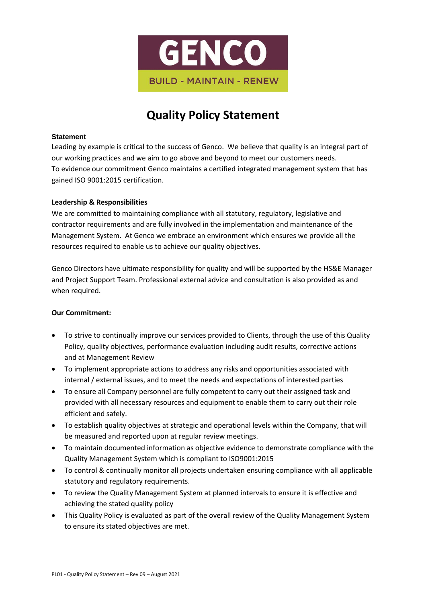

## **Quality Policy Statement**

## **Statement**

Leading by example is critical to the success of Genco. We believe that quality is an integral part of our working practices and we aim to go above and beyond to meet our customers needs. To evidence our commitment Genco maintains a certified integrated management system that has gained ISO 9001:2015 certification.

## **Leadership & Responsibilities**

We are committed to maintaining compliance with all statutory, regulatory, legislative and contractor requirements and are fully involved in the implementation and maintenance of the Management System. At Genco we embrace an environment which ensures we provide all the resources required to enable us to achieve our quality objectives.

Genco Directors have ultimate responsibility for quality and will be supported by the HS&E Manager and Project Support Team. Professional external advice and consultation is also provided as and when required.

## **Our Commitment:**

- To strive to continually improve our services provided to Clients, through the use of this Quality Policy, quality objectives, performance evaluation including audit results, corrective actions and at Management Review
- To implement appropriate actions to address any risks and opportunities associated with internal / external issues, and to meet the needs and expectations of interested parties
- To ensure all Company personnel are fully competent to carry out their assigned task and provided with all necessary resources and equipment to enable them to carry out their role efficient and safely.
- To establish quality objectives at strategic and operational levels within the Company, that will be measured and reported upon at regular review meetings.
- To maintain documented information as objective evidence to demonstrate compliance with the Quality Management System which is compliant to ISO9001:2015
- To control & continually monitor all projects undertaken ensuring compliance with all applicable statutory and regulatory requirements.
- To review the Quality Management System at planned intervals to ensure it is effective and achieving the stated quality policy
- This Quality Policy is evaluated as part of the overall review of the Quality Management System to ensure its stated objectives are met.